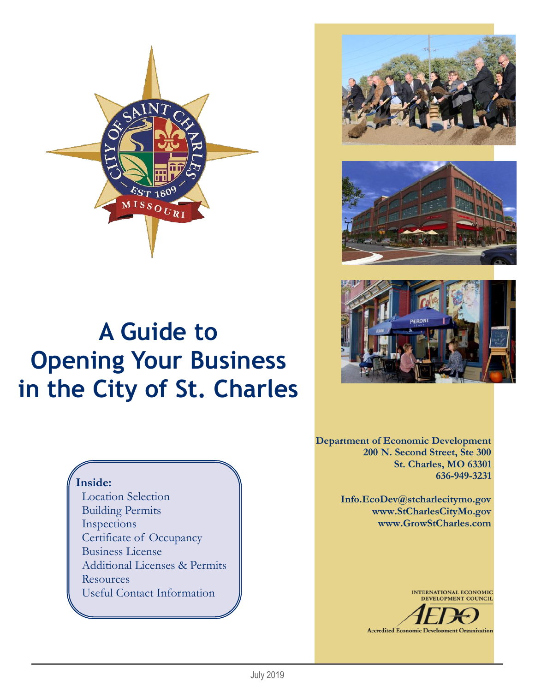

# **A Guide to Opening Your Business in the City of St. Charles**







**Department of Economic Development 200 N. Second Street, Ste 300 St. Charles, MO 63301 636-949-3231**

> **Info.EcoDev@stcharlecitymo.gov www.StCharlesCityMo.gov www.GrowStCharles.com**

> > INTERNATIONAL ECONOMIC<br>DEVELOPMENT COUNCIL



## **Inside:**

 Location Selection Building Permits Inspections Certificate of Occupancy Business License Additional Licenses & Permits Resources Useful Contact Information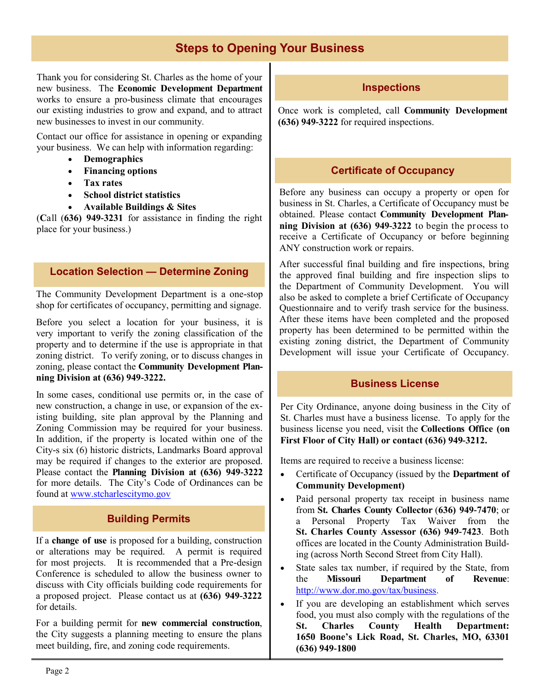## **Steps to Opening Your Business**

Thank you for considering St. Charles as the home of your new business. The **Economic Development Department**  works to ensure a pro-business climate that encourages our existing industries to grow and expand, and to attract new businesses to invest in our community*.* 

Contact our office for assistance in opening or expanding your business. We can help with information regarding:

- **Demographics**
- **Financing options**
- **Tax rates**
- **School district statistics**
- **Available Buildings & Sites**

(**C**all (**636) 949-3231** for assistance in finding the right place for your business.)

#### **Location Selection — Determine Zoning**

The Community Development Department is a one-stop shop for certificates of occupancy, permitting and signage.

Before you select a location for your business, it is very important to verify the zoning classification of the property and to determine if the use is appropriate in that zoning district. To verify zoning, or to discuss changes in zoning, please contact the **Community Development Planning Division at (636) 949-3222.**

In some cases, conditional use permits or, in the case of new construction, a change in use, or expansion of the existing building, site plan approval by the Planning and Zoning Commission may be required for your business. In addition, if the property is located within one of the City-s six (6) historic districts, Landmarks Board approval may be required if changes to the exterior are proposed. Please contact the **Planning Division at (636) 949-3222**  for more details. The City's Code of Ordinances can be found at www.stcharlescitymo.gov

## **Building Permits**

If a **change of use** is proposed for a building, construction or alterations may be required. A permit is required for most projects. It is recommended that a Pre-design Conference is scheduled to allow the business owner to discuss with City officials building code requirements for a proposed project. Please contact us at **(636) 949-3222**  for details.

For a building permit for **new commercial construction**, the City suggests a planning meeting to ensure the plans meet building, fire, and zoning code requirements.

#### **Inspections**

Once work is completed, call **Community Development (636) 949-3222** for required inspections.

## **Certificate of Occupancy**

Before any business can occupy a property or open for business in St. Charles, a Certificate of Occupancy must be obtained. Please contact **Community Development Planning Division at (636) 949-3222** to begin the process to receive a Certificate of Occupancy or before beginning ANY construction work or repairs.

After successful final building and fire inspections, bring the approved final building and fire inspection slips to the Department of Community Development. You will also be asked to complete a brief Certificate of Occupancy Questionnaire and to verify trash service for the business. After these items have been completed and the proposed property has been determined to be permitted within the existing zoning district, the Department of Community Development will issue your Certificate of Occupancy.

### **Business License**

Per City Ordinance, anyone doing business in the City of St. Charles must have a business license. To apply for the business license you need, visit the **Collections Office (on First Floor of City Hall) or contact (636) 949-3212.**

Items are required to receive a business license:

- Certificate of Occupancy (issued by the **Department of Community Development)**
- Paid personal property tax receipt in business name from **St. Charles County Collector** (**636) 949-7470**; or a Personal Property Tax Waiver from the **St. Charles County Assessor (636) 949-7423**. Both offices are located in the County Administration Building (across North Second Street from City Hall).
- State sales tax number, if required by the State, from the **Missouri Department of Revenue**: http://www.dor.mo.gov/tax/business.
- If you are developing an establishment which serves food, you must also comply with the regulations of the **St. Charles County Health Department: 1650 Boone's Lick Road, St. Charles, MO, 63301 (636) 949-1800**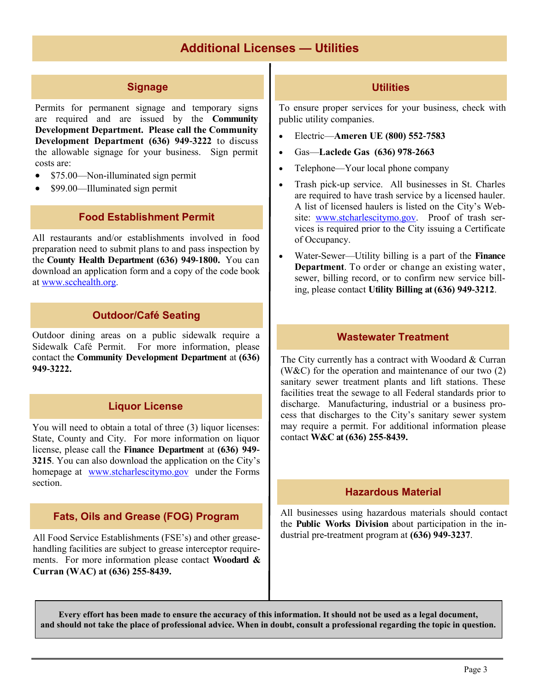## **Additional Licenses — Utilities**

## **Signage**

Permits for permanent signage and temporary signs are required and are issued by the **Community Development Department. Please call the Community Development Department (636) 949-3222** to discuss the allowable signage for your business. Sign permit costs are:

- \$75.00—Non-illuminated sign permit
- \$99.00—Illuminated sign permit

#### **Food Establishment Permit**

All restaurants and/or establishments involved in food preparation need to submit plans to and pass inspection by the **County Health Department (636) 949-1800.** You can download an application form and a copy of the code book at www.scchealth.org.

### **Outdoor/Café Seating**

Outdoor dining areas on a public sidewalk require a Sidewalk Café Permit. For more information, please contact the **Community Development Department** at **(636) 949-3222.**

#### **Liquor License**

You will need to obtain a total of three (3) liquor licenses: State, County and City. For more information on liquor license, please call the **Finance Department** at **(636) 949- 3215**. You can also download the application on the City's homepage at www.stcharlescitymo.gov under the Forms section.

#### **Fats, Oils and Grease (FOG) Program**

All Food Service Establishments (FSE's) and other greasehandling facilities are subject to grease interceptor requirements. For more information please contact **Woodard & Curran (WAC) at (636) 255-8439.**

#### **Utilities**

To ensure proper services for your business, check with public utility companies.

- Electric—**Ameren UE (800) 552-7583**
- Gas—**Laclede Gas (636) 978-2663**
- Telephone—Your local phone company
- Trash pick-up service. All businesses in St. Charles are required to have trash service by a licensed hauler. A list of licensed haulers is listed on the City's Website: www.stcharlescitymo.gov. Proof of trash services is required prior to the City issuing a Certificate of Occupancy.
- Water-Sewer—Utility billing is a part of the **Finance Department**. To order or change an existing water, sewer, billing record, or to confirm new service billing, please contact **Utility Billing at (636) 949-3212**.

#### **Wastewater Treatment**

The City currently has a contract with Woodard & Curran (W&C) for the operation and maintenance of our two (2) sanitary sewer treatment plants and lift stations. These facilities treat the sewage to all Federal standards prior to discharge. Manufacturing, industrial or a business process that discharges to the City's sanitary sewer system may require a permit. For additional information please contact **W&C at (636) 255-8439.**

#### **Hazardous Material**

All businesses using hazardous materials should contact the **Public Works Division** about participation in the industrial pre-treatment program at **(636) 949-3237**.

**Every effort has been made to ensure the accuracy of this information. It should not be used as a legal document, and should not take the place of professional advice. When in doubt, consult a professional regarding the topic in question.**